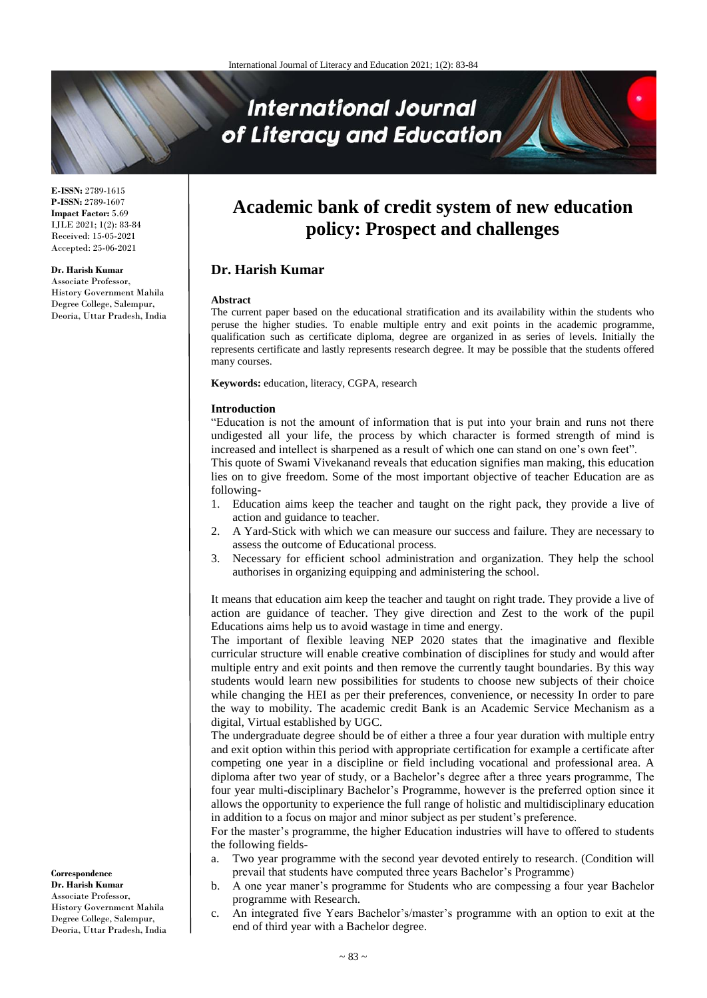# **International Journal** of Literacy and Education

**E-ISSN:** 2789-1615 **P-ISSN:** 2789-1607 **Impact Factor:** 5.69 IJLE 2021; 1(2): 83-84 Received: 15-05-2021 Accepted: 25-06-2021

## **Dr. Harish Kumar**

Associate Professor, History Government Mahila Degree College, Salempur, Deoria, Uttar Pradesh, India

## **Academic bank of credit system of new education policy: Prospect and challenges**

## **Dr. Harish Kumar**

#### **Abstract**

The current paper based on the educational stratification and its availability within the students who peruse the higher studies. To enable multiple entry and exit points in the academic programme, qualification such as certificate diploma, degree are organized in as series of levels. Initially the represents certificate and lastly represents research degree. It may be possible that the students offered many courses.

**Keywords:** education, literacy, CGPA, research

#### **Introduction**

"Education is not the amount of information that is put into your brain and runs not there undigested all your life, the process by which character is formed strength of mind is increased and intellect is sharpened as a result of which one can stand on one's own feet".

This quote of Swami Vivekanand reveals that education signifies man making, this education lies on to give freedom. Some of the most important objective of teacher Education are as following-

- 1. Education aims keep the teacher and taught on the right pack, they provide a live of action and guidance to teacher.
- 2. A Yard-Stick with which we can measure our success and failure. They are necessary to assess the outcome of Educational process.
- 3. Necessary for efficient school administration and organization. They help the school authorises in organizing equipping and administering the school.

It means that education aim keep the teacher and taught on right trade. They provide a live of action are guidance of teacher. They give direction and Zest to the work of the pupil Educations aims help us to avoid wastage in time and energy.

The important of flexible leaving NEP 2020 states that the imaginative and flexible curricular structure will enable creative combination of disciplines for study and would after multiple entry and exit points and then remove the currently taught boundaries. By this way students would learn new possibilities for students to choose new subjects of their choice while changing the HEI as per their preferences, convenience, or necessity In order to pare the way to mobility. The academic credit Bank is an Academic Service Mechanism as a digital, Virtual established by UGC.

The undergraduate degree should be of either a three a four year duration with multiple entry and exit option within this period with appropriate certification for example a certificate after competing one year in a discipline or field including vocational and professional area. A diploma after two year of study, or a Bachelor's degree after a three years programme, The four year multi-disciplinary Bachelor's Programme, however is the preferred option since it allows the opportunity to experience the full range of holistic and multidisciplinary education in addition to a focus on major and minor subject as per student's preference.

For the master's programme, the higher Education industries will have to offered to students the following fields-

- a. Two year programme with the second year devoted entirely to research. (Condition will prevail that students have computed three years Bachelor's Programme)
- b. A one year maner's programme for Students who are compessing a four year Bachelor programme with Research.
- c. An integrated five Years Bachelor's/master's programme with an option to exit at the end of third year with a Bachelor degree.

**Correspondence Dr. Harish Kumar** Associate Professor, History Government Mahila Degree College, Salempur, Deoria, Uttar Pradesh, India